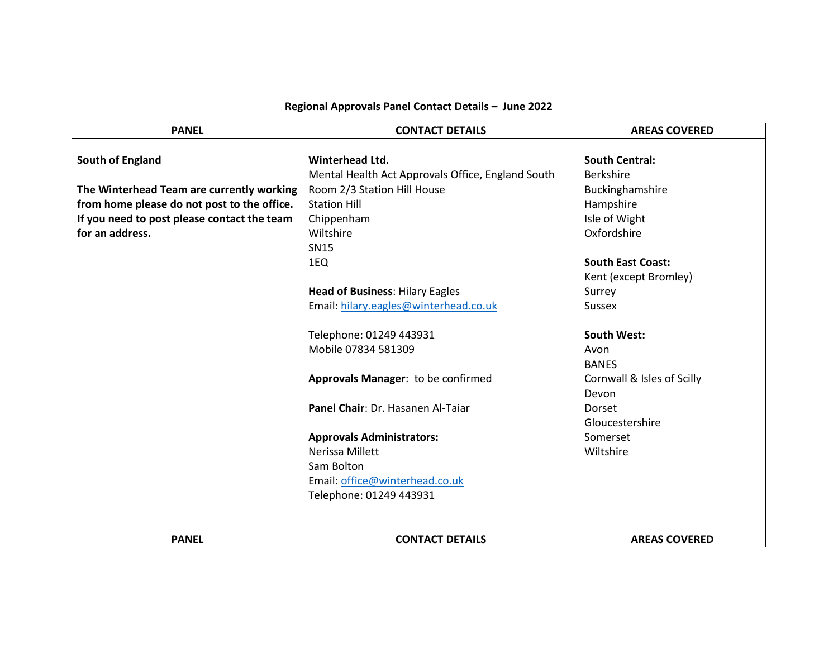## **Regional Approvals Panel Contact Details – June 2022**

| <b>PANEL</b>                                | <b>CONTACT DETAILS</b>                            | <b>AREAS COVERED</b>       |
|---------------------------------------------|---------------------------------------------------|----------------------------|
|                                             |                                                   |                            |
| South of England                            | Winterhead Ltd.                                   | <b>South Central:</b>      |
|                                             | Mental Health Act Approvals Office, England South | <b>Berkshire</b>           |
| The Winterhead Team are currently working   | Room 2/3 Station Hill House                       | Buckinghamshire            |
| from home please do not post to the office. | <b>Station Hill</b>                               | Hampshire                  |
| If you need to post please contact the team | Chippenham                                        | Isle of Wight              |
| for an address.                             | Wiltshire                                         | Oxfordshire                |
|                                             | <b>SN15</b>                                       |                            |
|                                             | 1EQ                                               | <b>South East Coast:</b>   |
|                                             |                                                   | Kent (except Bromley)      |
|                                             | <b>Head of Business: Hilary Eagles</b>            | Surrey                     |
|                                             | Email: hilary.eagles@winterhead.co.uk             | <b>Sussex</b>              |
|                                             |                                                   |                            |
|                                             | Telephone: 01249 443931                           | <b>South West:</b>         |
|                                             | Mobile 07834 581309                               | Avon                       |
|                                             |                                                   | <b>BANES</b>               |
|                                             | Approvals Manager: to be confirmed                | Cornwall & Isles of Scilly |
|                                             |                                                   | Devon                      |
|                                             | Panel Chair: Dr. Hasanen Al-Taiar                 | Dorset                     |
|                                             |                                                   | Gloucestershire            |
|                                             | <b>Approvals Administrators:</b>                  | Somerset                   |
|                                             | <b>Nerissa Millett</b>                            | Wiltshire                  |
|                                             | Sam Bolton                                        |                            |
|                                             | Email: office@winterhead.co.uk                    |                            |
|                                             | Telephone: 01249 443931                           |                            |
|                                             |                                                   |                            |
|                                             |                                                   |                            |
| <b>PANEL</b>                                | <b>CONTACT DETAILS</b>                            | <b>AREAS COVERED</b>       |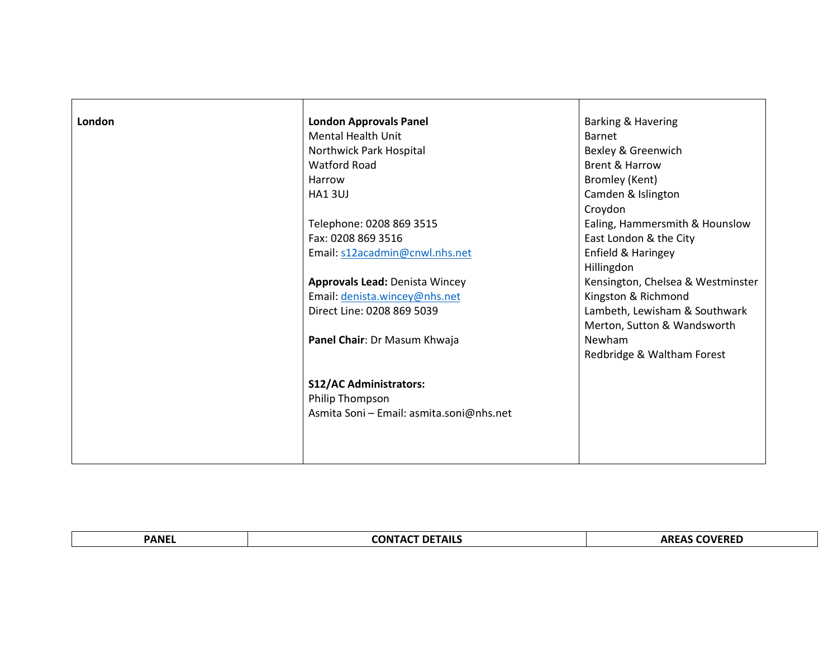| London | <b>London Approvals Panel</b>            | <b>Barking &amp; Havering</b>     |
|--------|------------------------------------------|-----------------------------------|
|        | <b>Mental Health Unit</b>                | Barnet                            |
|        | Northwick Park Hospital                  | Bexley & Greenwich                |
|        | <b>Watford Road</b>                      | <b>Brent &amp; Harrow</b>         |
|        | Harrow                                   | Bromley (Kent)                    |
|        | <b>HA13UJ</b>                            | Camden & Islington                |
|        |                                          | Croydon                           |
|        | Telephone: 0208 869 3515                 | Ealing, Hammersmith & Hounslow    |
|        | Fax: 0208 869 3516                       | East London & the City            |
|        | Email: s12acadmin@cnwl.nhs.net           | Enfield & Haringey                |
|        |                                          | Hillingdon                        |
|        | <b>Approvals Lead: Denista Wincey</b>    | Kensington, Chelsea & Westminster |
|        | Email: denista.wincey@nhs.net            | Kingston & Richmond               |
|        | Direct Line: 0208 869 5039               | Lambeth, Lewisham & Southwark     |
|        |                                          | Merton, Sutton & Wandsworth       |
|        | Panel Chair: Dr Masum Khwaja             | Newham                            |
|        |                                          | Redbridge & Waltham Forest        |
|        |                                          |                                   |
|        | <b>S12/AC Administrators:</b>            |                                   |
|        | Philip Thompson                          |                                   |
|        | Asmita Soni - Email: asmita.soni@nhs.net |                                   |
|        |                                          |                                   |
|        |                                          |                                   |
|        |                                          |                                   |

| <b>PANF</b> | <b>CONTACT DETAILS</b> | COVERED<br>EREL |
|-------------|------------------------|-----------------|
|             |                        |                 |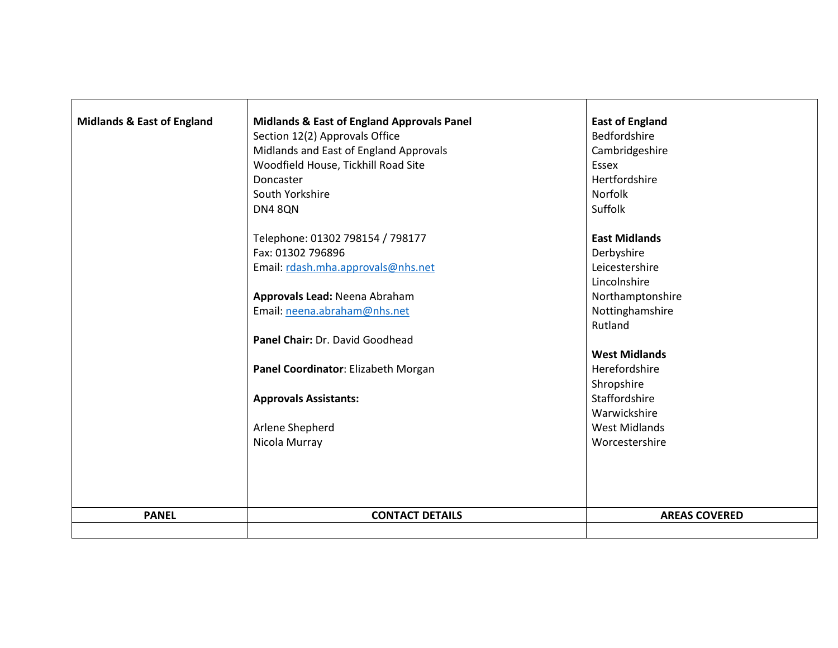| <b>Midlands &amp; East of England</b> | <b>Midlands &amp; East of England Approvals Panel</b> | <b>East of England</b> |
|---------------------------------------|-------------------------------------------------------|------------------------|
|                                       | Section 12(2) Approvals Office                        | Bedfordshire           |
|                                       | Midlands and East of England Approvals                | Cambridgeshire         |
|                                       | Woodfield House, Tickhill Road Site                   | Essex                  |
|                                       | Doncaster                                             | Hertfordshire          |
|                                       | South Yorkshire                                       | <b>Norfolk</b>         |
|                                       | <b>DN4 8QN</b>                                        | Suffolk                |
|                                       | Telephone: 01302 798154 / 798177                      | <b>East Midlands</b>   |
|                                       | Fax: 01302 796896                                     | Derbyshire             |
|                                       | Email: rdash.mha.approvals@nhs.net                    | Leicestershire         |
|                                       |                                                       | Lincolnshire           |
|                                       | Approvals Lead: Neena Abraham                         | Northamptonshire       |
|                                       | Email: neena.abraham@nhs.net                          | Nottinghamshire        |
|                                       |                                                       | Rutland                |
|                                       | Panel Chair: Dr. David Goodhead                       |                        |
|                                       |                                                       | <b>West Midlands</b>   |
|                                       | Panel Coordinator: Elizabeth Morgan                   | Herefordshire          |
|                                       |                                                       | Shropshire             |
|                                       | <b>Approvals Assistants:</b>                          | Staffordshire          |
|                                       |                                                       | Warwickshire           |
|                                       | Arlene Shepherd                                       | <b>West Midlands</b>   |
|                                       | Nicola Murray                                         | Worcestershire         |
|                                       |                                                       |                        |
|                                       |                                                       |                        |
|                                       |                                                       |                        |
| <b>PANEL</b>                          | <b>CONTACT DETAILS</b>                                | <b>AREAS COVERED</b>   |
|                                       |                                                       |                        |